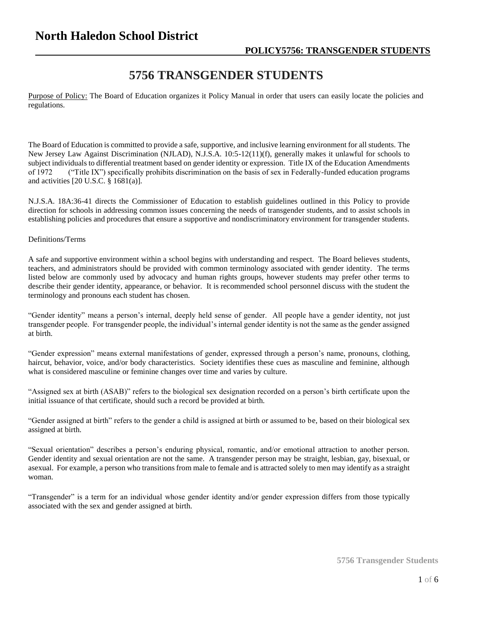## **5756 TRANSGENDER STUDENTS**

Purpose of Policy: The Board of Education organizes it Policy Manual in order that users can easily locate the policies and regulations.

The Board of Education is committed to provide a safe, supportive, and inclusive learning environment for all students. The New Jersey Law Against Discrimination (NJLAD), N.J.S.A. 10:5-12(11)(f), generally makes it unlawful for schools to subject individuals to differential treatment based on gender identity or expression. Title IX of the Education Amendments of 1972 ("Title IX") specifically prohibits discrimination on the basis of sex in Federally-funded education programs and activities [20 U.S.C. § 1681(a)].

N.J.S.A. 18A:36-41 directs the Commissioner of Education to establish guidelines outlined in this Policy to provide direction for schools in addressing common issues concerning the needs of transgender students, and to assist schools in establishing policies and procedures that ensure a supportive and nondiscriminatory environment for transgender students.

### Definitions/Terms

A safe and supportive environment within a school begins with understanding and respect. The Board believes students, teachers, and administrators should be provided with common terminology associated with gender identity. The terms listed below are commonly used by advocacy and human rights groups, however students may prefer other terms to describe their gender identity, appearance, or behavior. It is recommended school personnel discuss with the student the terminology and pronouns each student has chosen.

"Gender identity" means a person's internal, deeply held sense of gender. All people have a gender identity, not just transgender people. For transgender people, the individual's internal gender identity is not the same as the gender assigned at birth.

"Gender expression" means external manifestations of gender, expressed through a person's name, pronouns, clothing, haircut, behavior, voice, and/or body characteristics. Society identifies these cues as masculine and feminine, although what is considered masculine or feminine changes over time and varies by culture.

"Assigned sex at birth (ASAB)" refers to the biological sex designation recorded on a person's birth certificate upon the initial issuance of that certificate, should such a record be provided at birth.

"Gender assigned at birth" refers to the gender a child is assigned at birth or assumed to be, based on their biological sex assigned at birth.

"Sexual orientation" describes a person's enduring physical, romantic, and/or emotional attraction to another person. Gender identity and sexual orientation are not the same. A transgender person may be straight, lesbian, gay, bisexual, or asexual. For example, a person who transitions from male to female and is attracted solely to men may identify as a straight woman.

"Transgender" is a term for an individual whose gender identity and/or gender expression differs from those typically associated with the sex and gender assigned at birth.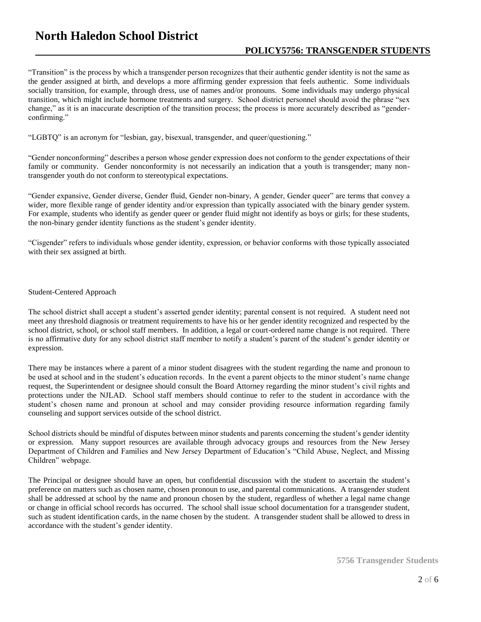# **North Haledon School District**

## **POLICY5756: TRANSGENDER STUDENTS**

"Transition" is the process by which a transgender person recognizes that their authentic gender identity is not the same as the gender assigned at birth, and develops a more affirming gender expression that feels authentic. Some individuals socially transition, for example, through dress, use of names and/or pronouns. Some individuals may undergo physical transition, which might include hormone treatments and surgery. School district personnel should avoid the phrase "sex change," as it is an inaccurate description of the transition process; the process is more accurately described as "genderconfirming."

"LGBTQ" is an acronym for "lesbian, gay, bisexual, transgender, and queer/questioning."

"Gender nonconforming" describes a person whose gender expression does not conform to the gender expectations of their family or community. Gender nonconformity is not necessarily an indication that a youth is transgender; many nontransgender youth do not conform to stereotypical expectations.

"Gender expansive, Gender diverse, Gender fluid, Gender non-binary, A gender, Gender queer" are terms that convey a wider, more flexible range of gender identity and/or expression than typically associated with the binary gender system. For example, students who identify as gender queer or gender fluid might not identify as boys or girls; for these students, the non-binary gender identity functions as the student's gender identity.

"Cisgender" refers to individuals whose gender identity, expression, or behavior conforms with those typically associated with their sex assigned at birth.

### Student-Centered Approach

The school district shall accept a student's asserted gender identity; parental consent is not required. A student need not meet any threshold diagnosis or treatment requirements to have his or her gender identity recognized and respected by the school district, school, or school staff members. In addition, a legal or court-ordered name change is not required. There is no affirmative duty for any school district staff member to notify a student's parent of the student's gender identity or expression.

There may be instances where a parent of a minor student disagrees with the student regarding the name and pronoun to be used at school and in the student's education records. In the event a parent objects to the minor student's name change request, the Superintendent or designee should consult the Board Attorney regarding the minor student's civil rights and protections under the NJLAD. School staff members should continue to refer to the student in accordance with the student's chosen name and pronoun at school and may consider providing resource information regarding family counseling and support services outside of the school district.

School districts should be mindful of disputes between minor students and parents concerning the student's gender identity or expression. Many support resources are available through advocacy groups and resources from the New Jersey Department of Children and Families and New Jersey Department of Education's "Child Abuse, Neglect, and Missing Children" webpage.

The Principal or designee should have an open, but confidential discussion with the student to ascertain the student's preference on matters such as chosen name, chosen pronoun to use, and parental communications. A transgender student shall be addressed at school by the name and pronoun chosen by the student, regardless of whether a legal name change or change in official school records has occurred. The school shall issue school documentation for a transgender student, such as student identification cards, in the name chosen by the student. A transgender student shall be allowed to dress in accordance with the student's gender identity.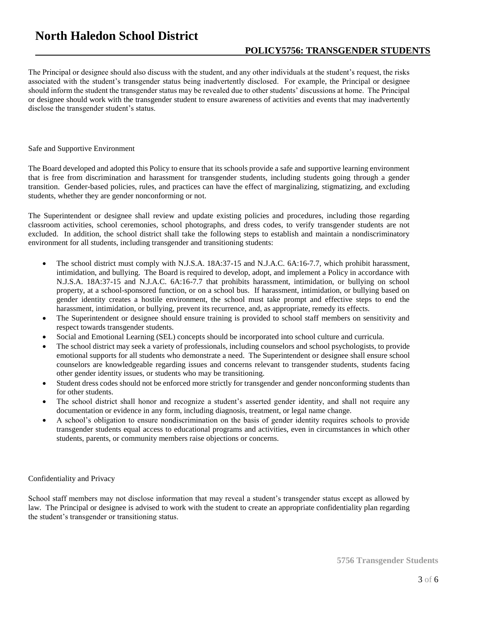The Principal or designee should also discuss with the student, and any other individuals at the student's request, the risks associated with the student's transgender status being inadvertently disclosed. For example, the Principal or designee should inform the student the transgender status may be revealed due to other students' discussions at home. The Principal or designee should work with the transgender student to ensure awareness of activities and events that may inadvertently disclose the transgender student's status.

### Safe and Supportive Environment

The Board developed and adopted this Policy to ensure that its schools provide a safe and supportive learning environment that is free from discrimination and harassment for transgender students, including students going through a gender transition. Gender-based policies, rules, and practices can have the effect of marginalizing, stigmatizing, and excluding students, whether they are gender nonconforming or not.

The Superintendent or designee shall review and update existing policies and procedures, including those regarding classroom activities, school ceremonies, school photographs, and dress codes, to verify transgender students are not excluded. In addition, the school district shall take the following steps to establish and maintain a nondiscriminatory environment for all students, including transgender and transitioning students:

- The school district must comply with N.J.S.A. 18A:37-15 and N.J.A.C. 6A:16-7.7, which prohibit harassment, intimidation, and bullying. The Board is required to develop, adopt, and implement a Policy in accordance with N.J.S.A. 18A:37-15 and N.J.A.C. 6A:16-7.7 that prohibits harassment, intimidation, or bullying on school property, at a school-sponsored function, or on a school bus. If harassment, intimidation, or bullying based on gender identity creates a hostile environment, the school must take prompt and effective steps to end the harassment, intimidation, or bullying, prevent its recurrence, and, as appropriate, remedy its effects.
- The Superintendent or designee should ensure training is provided to school staff members on sensitivity and respect towards transgender students.
- Social and Emotional Learning (SEL) concepts should be incorporated into school culture and curricula.
- The school district may seek a variety of professionals, including counselors and school psychologists, to provide emotional supports for all students who demonstrate a need. The Superintendent or designee shall ensure school counselors are knowledgeable regarding issues and concerns relevant to transgender students, students facing other gender identity issues, or students who may be transitioning.
- Student dress codes should not be enforced more strictly for transgender and gender nonconforming students than for other students.
- The school district shall honor and recognize a student's asserted gender identity, and shall not require any documentation or evidence in any form, including diagnosis, treatment, or legal name change.
- A school's obligation to ensure nondiscrimination on the basis of gender identity requires schools to provide transgender students equal access to educational programs and activities, even in circumstances in which other students, parents, or community members raise objections or concerns.

### Confidentiality and Privacy

School staff members may not disclose information that may reveal a student's transgender status except as allowed by law. The Principal or designee is advised to work with the student to create an appropriate confidentiality plan regarding the student's transgender or transitioning status.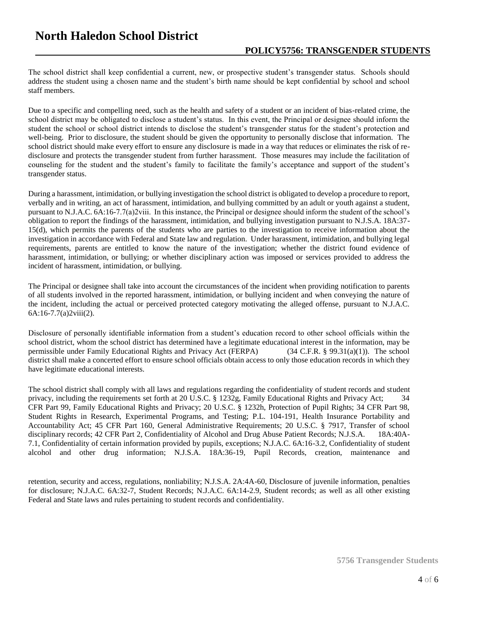The school district shall keep confidential a current, new, or prospective student's transgender status. Schools should address the student using a chosen name and the student's birth name should be kept confidential by school and school staff members.

Due to a specific and compelling need, such as the health and safety of a student or an incident of bias-related crime, the school district may be obligated to disclose a student's status. In this event, the Principal or designee should inform the student the school or school district intends to disclose the student's transgender status for the student's protection and well-being. Prior to disclosure, the student should be given the opportunity to personally disclose that information. The school district should make every effort to ensure any disclosure is made in a way that reduces or eliminates the risk of redisclosure and protects the transgender student from further harassment. Those measures may include the facilitation of counseling for the student and the student's family to facilitate the family's acceptance and support of the student's transgender status.

During a harassment, intimidation, or bullying investigation the school district is obligated to develop a procedure to report, verbally and in writing, an act of harassment, intimidation, and bullying committed by an adult or youth against a student, pursuant to N.J.A.C. 6A:16-7.7(a)2viii. In this instance, the Principal or designee should inform the student of the school's obligation to report the findings of the harassment, intimidation, and bullying investigation pursuant to N.J.S.A. 18A:37- 15(d), which permits the parents of the students who are parties to the investigation to receive information about the investigation in accordance with Federal and State law and regulation. Under harassment, intimidation, and bullying legal requirements, parents are entitled to know the nature of the investigation; whether the district found evidence of harassment, intimidation, or bullying; or whether disciplinary action was imposed or services provided to address the incident of harassment, intimidation, or bullying.

The Principal or designee shall take into account the circumstances of the incident when providing notification to parents of all students involved in the reported harassment, intimidation, or bullying incident and when conveying the nature of the incident, including the actual or perceived protected category motivating the alleged offense, pursuant to N.J.A.C. 6A:16-7.7(a)2viii(2).

Disclosure of personally identifiable information from a student's education record to other school officials within the school district, whom the school district has determined have a legitimate educational interest in the information, may be permissible under Family Educational Rights and Privacy Act (FERPA) (34 C.F.R. § 99.31(a)(1)). The school district shall make a concerted effort to ensure school officials obtain access to only those education records in which they have legitimate educational interests.

The school district shall comply with all laws and regulations regarding the confidentiality of student records and student privacy, including the requirements set forth at 20 U.S.C. § 1232g, Family Educational Rights and Privacy Act; 34 CFR Part 99, Family Educational Rights and Privacy; 20 U.S.C. § 1232h, Protection of Pupil Rights; 34 CFR Part 98, Student Rights in Research, Experimental Programs, and Testing; P.L. 104-191, Health Insurance Portability and Accountability Act; 45 CFR Part 160, General Administrative Requirements; 20 U.S.C. § 7917, Transfer of school disciplinary records; 42 CFR Part 2, Confidentiality of Alcohol and Drug Abuse Patient Records; N.J.S.A. 18A:40A-7.1, Confidentiality of certain information provided by pupils, exceptions; N.J.A.C. 6A:16-3.2, Confidentiality of student alcohol and other drug information; N.J.S.A. 18A:36-19, Pupil Records, creation, maintenance and

retention, security and access, regulations, nonliability; N.J.S.A. 2A:4A-60, Disclosure of juvenile information, penalties for disclosure; N.J.A.C. 6A:32-7, Student Records; N.J.A.C. 6A:14-2.9, Student records; as well as all other existing Federal and State laws and rules pertaining to student records and confidentiality.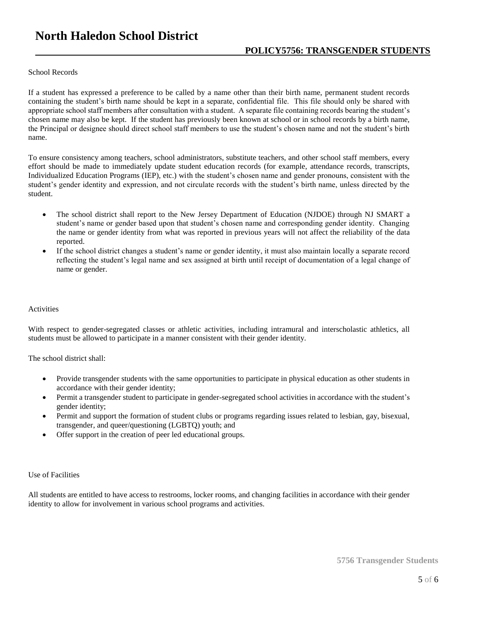# **North Haledon School District**

## **POLICY5756: TRANSGENDER STUDENTS**

### School Records

If a student has expressed a preference to be called by a name other than their birth name, permanent student records containing the student's birth name should be kept in a separate, confidential file. This file should only be shared with appropriate school staff members after consultation with a student. A separate file containing records bearing the student's chosen name may also be kept. If the student has previously been known at school or in school records by a birth name, the Principal or designee should direct school staff members to use the student's chosen name and not the student's birth name.

To ensure consistency among teachers, school administrators, substitute teachers, and other school staff members, every effort should be made to immediately update student education records (for example, attendance records, transcripts, Individualized Education Programs (IEP), etc.) with the student's chosen name and gender pronouns, consistent with the student's gender identity and expression, and not circulate records with the student's birth name, unless directed by the student.

- The school district shall report to the New Jersey Department of Education (NJDOE) through NJ SMART a student's name or gender based upon that student's chosen name and corresponding gender identity. Changing the name or gender identity from what was reported in previous years will not affect the reliability of the data reported.
- If the school district changes a student's name or gender identity, it must also maintain locally a separate record reflecting the student's legal name and sex assigned at birth until receipt of documentation of a legal change of name or gender.

#### **Activities**

With respect to gender-segregated classes or athletic activities, including intramural and interscholastic athletics, all students must be allowed to participate in a manner consistent with their gender identity.

The school district shall:

- Provide transgender students with the same opportunities to participate in physical education as other students in accordance with their gender identity;
- Permit a transgender student to participate in gender-segregated school activities in accordance with the student's gender identity;
- Permit and support the formation of student clubs or programs regarding issues related to lesbian, gay, bisexual, transgender, and queer/questioning (LGBTQ) youth; and
- Offer support in the creation of peer led educational groups.

### Use of Facilities

All students are entitled to have access to restrooms, locker rooms, and changing facilities in accordance with their gender identity to allow for involvement in various school programs and activities.